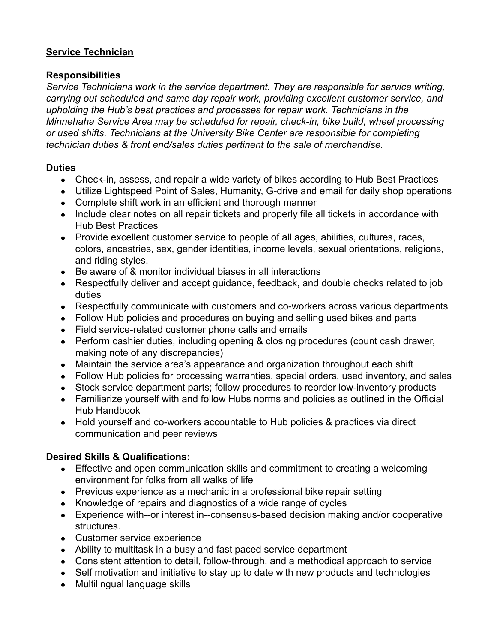## **Service Technician**

## **Responsibilities**

*Service Technicians work in the service department. They are responsible for service writing, carrying out scheduled and same day repair work, providing excellent customer service, and upholding the Hub's best practices and processes for repair work. Technicians in the Minnehaha Service Area may be scheduled for repair, check-in, bike build, wheel processing or used shifts. Technicians at the University Bike Center are responsible for completing technician duties & front end/sales duties pertinent to the sale of merchandise.*

# **Duties**

- Check-in, assess, and repair a wide variety of bikes according to Hub Best Practices
- Utilize Lightspeed Point of Sales, Humanity, G-drive and email for daily shop operations
- Complete shift work in an efficient and thorough manner
- Include clear notes on all repair tickets and properly file all tickets in accordance with Hub Best Practices
- Provide excellent customer service to people of all ages, abilities, cultures, races, colors, ancestries, sex, gender identities, income levels, sexual orientations, religions, and riding styles.
- Be aware of & monitor individual biases in all interactions
- Respectfully deliver and accept guidance, feedback, and double checks related to job duties
- Respectfully communicate with customers and co-workers across various departments
- Follow Hub policies and procedures on buying and selling used bikes and parts
- Field service-related customer phone calls and emails
- Perform cashier duties, including opening & closing procedures (count cash drawer, making note of any discrepancies)
- Maintain the service area's appearance and organization throughout each shift
- Follow Hub policies for processing warranties, special orders, used inventory, and sales
- Stock service department parts; follow procedures to reorder low-inventory products
- Familiarize yourself with and follow Hubs norms and policies as outlined in the Official Hub Handbook
- Hold yourself and co-workers accountable to Hub policies & practices via direct communication and peer reviews

# **Desired Skills & Qualifications:**

- Effective and open communication skills and commitment to creating a welcoming environment for folks from all walks of life
- Previous experience as a mechanic in a professional bike repair setting
- Knowledge of repairs and diagnostics of a wide range of cycles
- Experience with--or interest in--consensus-based decision making and/or cooperative structures.
- Customer service experience
- Ability to multitask in a busy and fast paced service department
- Consistent attention to detail, follow-through, and a methodical approach to service
- Self motivation and initiative to stay up to date with new products and technologies
- Multilingual language skills